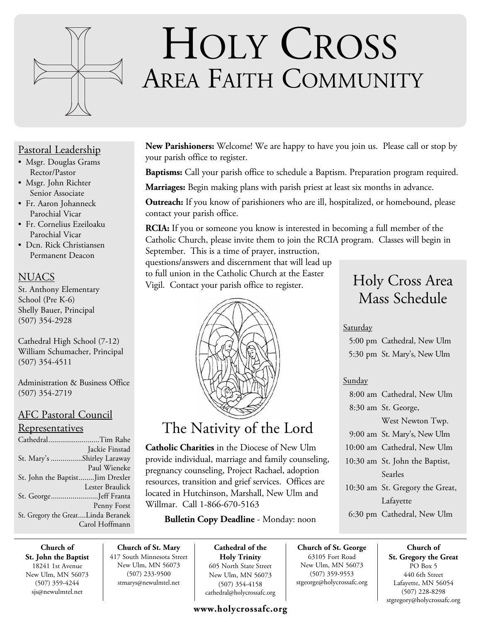

# HOLY CROSS AREA FAITH COMMUNITY

#### Pastoral Leadership

- Msgr. Douglas Grams Rector/Pastor
- Msgr. John Richter Senior Associate
- Fr. Aaron Johanneck Parochial Vicar
- Fr. Cornelius Ezeiloaku Parochial Vicar
- Dcn. Rick Christiansen Permanent Deacon

#### **NUACS**

St. Anthony Elementary School (Pre K-6) Shelly Bauer, Principal (507) 354-2928

Cathedral High School (7-12) William Schumacher, Principal (507) 354-4511

Administration & Business Office (507) 354-2719

#### AFC Pastoral Council

#### Representatives

| CathedralTim Rahe                  |                 |
|------------------------------------|-----------------|
|                                    | Jackie Finstad  |
| St. Mary's Shirley Laraway         |                 |
|                                    | Paul Wieneke    |
| St. John the BaptistJim Drexler    |                 |
|                                    | Lester Braulick |
| St. GeorgeJeff Franta              |                 |
|                                    | Penny Forst     |
| St. Gregory the GreatLinda Beranek |                 |
|                                    | Carol Hoffmann  |

**Church of St. John the Baptist** 18241 1st Avenue New Ulm, MN 56073 (507) 359-4244 sjs@newulmtel.net

**New Parishioners:** Welcome! We are happy to have you join us. Please call or stop by your parish office to register.

**Baptisms:** Call your parish office to schedule a Baptism. Preparation program required.

**Marriages:** Begin making plans with parish priest at least six months in advance.

**Outreach:** If you know of parishioners who are ill, hospitalized, or homebound, please contact your parish office.

**RCIA:** If you or someone you know is interested in becoming a full member of the Catholic Church, please invite them to join the RCIA program. Classes will begin in September. This is a time of prayer, instruction,

questions/answers and discernment that will lead up to full union in the Catholic Church at the Easter Vigil. Contact your parish office to register.



## The Nativity of the Lord

**Catholic Charities** in the Diocese of New Ulm provide individual, marriage and family counseling, pregnancy counseling, Project Rachael, adoption resources, transition and grief services. Offices are located in Hutchinson, Marshall, New Ulm and Willmar. Call 1-866-670-5163

#### **Bulletin Copy Deadline** - Monday: noon

**Church of St. Mary** 417 South Minnesota Street New Ulm, MN 56073 (507) 233-9500 stmarys@newulmtel.net

**Cathedral of the Holy Trinity** 605 North State Street New Ulm, MN 56073 (507) 354-4158 cathedral@holycrossafc.org

#### **www.holycrossafc.org**

## Holy Cross Area Mass Schedule

#### Saturday

 5:00 pm Cathedral, New Ulm 5:30 pm St. Mary's, New Ulm

#### Sunday

**Church of St. George** 63105 Fort Road New Ulm, MN 56073 (507) 359-9553 stgeorge@holycrossafc.org

| 8:00 am Cathedral, New Ulm                        |
|---------------------------------------------------|
| 8:30 am St. George,                               |
| West Newton Twp.                                  |
| 9:00 am St. Mary's, New Ulm                       |
| 10:00 am Cathedral, New Ulm                       |
| 10:30 am St. John the Baptist,                    |
| Searles                                           |
| 10:30 am St. Gregory the Great,                   |
| Lafayette                                         |
| $\ell$ 20 $\ldots$ C $\ell$ 1 1 $\mathbf{M}$ III. |

6:30 pm Cathedral, New Ulm

**Church of St. Gregory the Great**  PO Box 5 440 6th Street Lafayette, MN 56054 (507) 228-8298 stgregory@holycrossafc.org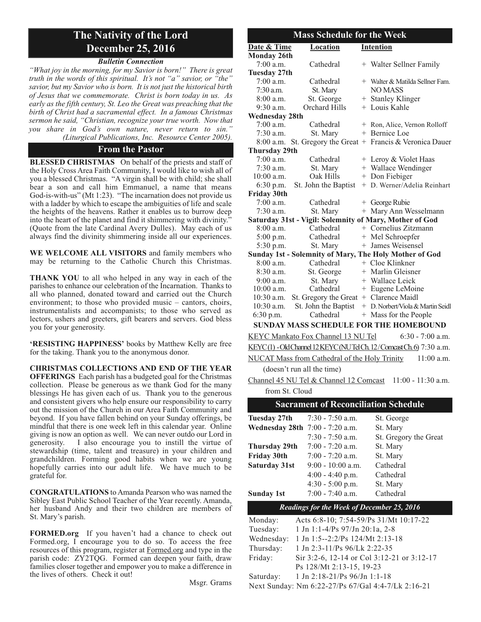### **The Nativity of the Lord December 25, 2016**

#### *Bulletin Connection*

*"What joy in the morning, for my Savior is born!" There is great truth in the words of this spiritual. It's not "a" savior, or "the" savior, but my Savior who is born. It is not just the historical birth of Jesus that we commemorate. Christ is born today in us. As early as the fifth century, St. Leo the Great was preaching that the birth of Christ had a sacramental effect. In a famous Christmas sermon he said, "Christian, recognize your true worth. Now that you share in God's own nature, never return to sin." (Liturgical Publications, Inc. Resource Center 2005).*

#### **From the Pastor**

**BLESSED CHRISTMAS** On behalf of the priests and staff of the Holy Cross Area Faith Community, I would like to wish all of you a blessed Christmas. "A virgin shall be with child; she shall bear a son and call him Emmanuel, a name that means God-is-with-us" (Mt 1:23). "The incarnation does not provide us with a ladder by which to escape the ambiguities of life and scale the heights of the heavens. Rather it enables us to burrow deep into the heart of the planet and find it shimmering with divinity.<sup>5</sup> (Quote from the late Cardinal Avery Dulles). May each of us always find the divinity shimmering inside all our experiences.

**WE WELCOME ALL VISITORS** and family members who may be returning to the Catholic Church this Christmas.

**THANK YOU** to all who helped in any way in each of the parishes to enhance our celebration of the Incarnation. Thanks to all who planned, donated toward and carried out the Church environment; to those who provided music – cantors, choirs, instrumentalists and accompanists; to those who served as lectors, ushers and greeters, gift bearers and servers. God bless you for your generosity.

**'RESISTING HAPPINESS'** books by Matthew Kelly are free for the taking. Thank you to the anonymous donor.

**CHRISTMAS COLLECTIONS AND END OF THE YEAR OFFERINGS** Each parish has a budgeted goal for the Christmas collection. Please be generous as we thank God for the many blessings He has given each of us. Thank you to the generous and consistent givers who help ensure our responsibility to carry out the mission of the Church in our Area Faith Community and beyond. If you have fallen behind on your Sunday offerings, be mindful that there is one week left in this calendar year. Online giving is now an option as well. We can never outdo our Lord in generosity. I also encourage you to instill the virtue of I also encourage you to instill the virtue of stewardship (time, talent and treasure) in your children and grandchildren. Forming good habits when we are young hopefully carries into our adult life. We have much to be grateful for.

**CONGRATULATIONS** to Amanda Pearson who was named the Sibley East Public School Teacher of the Year recently. Amanda, her husband Andy and their two children are members of St. Mary's parish.

**FORMED.org** If you haven't had a chance to check out Formed.org, I encourage you to do so. To access the free resources of this program, register at Formed.org and type in the parish code: ZY2TQG. Formed can deepen your faith, draw families closer together and empower you to make a difference in the lives of others. Check it out!

Msgr. Grams

| <b>Mass Schedule for the Week</b>                                    |                                             |  |                                                               |  |  |
|----------------------------------------------------------------------|---------------------------------------------|--|---------------------------------------------------------------|--|--|
| Date & Time                                                          | Location<br><b>Intention</b>                |  |                                                               |  |  |
| <b>Monday 26th</b>                                                   |                                             |  |                                                               |  |  |
| $7:00$ a.m.                                                          | Cathedral                                   |  | + Walter Sellner Family                                       |  |  |
| <b>Tuesday 27th</b>                                                  |                                             |  |                                                               |  |  |
| 7:00 a.m.                                                            | Cathedral                                   |  | + Walter & Matilda Sellner Fam.                               |  |  |
| $7:30$ a.m.                                                          | St. Mary                                    |  | <b>NO MASS</b>                                                |  |  |
| $8:00$ a.m.                                                          | St. George                                  |  | + Stanley Klinger                                             |  |  |
| $9:30$ a.m.                                                          | Orchard Hills                               |  | + Louis Kahle                                                 |  |  |
| <b>Wednesday 28th</b>                                                |                                             |  |                                                               |  |  |
| 7:00 a.m.                                                            | Cathedral                                   |  | + Ron, Alice, Vernon Rolloff                                  |  |  |
| $7:30$ a.m.                                                          | St. Mary                                    |  | + Bernice Loe                                                 |  |  |
| $8:00$ a.m.                                                          |                                             |  | St. Gregory the Great $+$ Francis & Veronica Dauer            |  |  |
| <b>Thursday 29th</b>                                                 |                                             |  |                                                               |  |  |
| $7:00$ a.m.                                                          | Cathedral                                   |  | + Leroy & Violet Haas                                         |  |  |
| $7:30$ a.m.                                                          | St. Mary                                    |  | + Wallace Wendinger                                           |  |  |
| $10:00$ a.m.                                                         | Oak Hills                                   |  | + Don Fiebiger                                                |  |  |
| 6:30 p.m.                                                            | St. John the Baptist                        |  | + D. Werner/Adelia Reinhart                                   |  |  |
| <b>Friday 30th</b>                                                   |                                             |  |                                                               |  |  |
| $7:00$ a.m.                                                          | Cathedral                                   |  | + George Rubie                                                |  |  |
| $7:30$ a.m.                                                          | St. Mary                                    |  | + Mary Ann Wesselmann                                         |  |  |
|                                                                      |                                             |  | Saturday 31st - Vigil: Solemnity of Mary, Mother of God       |  |  |
| $8:00$ a.m.                                                          | Cathedral                                   |  | + Cornelius Zitzmann                                          |  |  |
| 5:00 p.m.                                                            | Cathedral                                   |  | + Mel Schroepfer                                              |  |  |
| 5:30 p.m.                                                            | St. Mary                                    |  | + James Weisensel                                             |  |  |
|                                                                      |                                             |  | <b>Sunday 1st - Solemnity of Mary, The Holy Mother of God</b> |  |  |
| $8:00$ a.m.                                                          | Cathedral                                   |  | + Cloe Klinkner                                               |  |  |
| $8:30$ a.m.                                                          | St. George                                  |  | + Marlin Gleisner                                             |  |  |
| $9:00$ a.m.                                                          | St. Mary                                    |  | + Wallace Leick                                               |  |  |
| $10:00$ a.m.                                                         | Cathedral                                   |  | + Eugene LeMoine                                              |  |  |
| $10:30$ a.m.                                                         | St. Gregory the Great + Clarence Maidl      |  |                                                               |  |  |
| $10:30$ a.m.                                                         | St. John the Baptist<br>Cathedral           |  | + D. Norbert/Viola & Martin Seidl                             |  |  |
| 6:30 p.m.                                                            |                                             |  | + Mass for the People                                         |  |  |
| <b>SUNDAY MASS SCHEDULE FOR THE HOMEBOUND</b>                        |                                             |  |                                                               |  |  |
|                                                                      | KEYC Mankato Fox Channel 13 NU Tel          |  | $6:30 - 7:00$ a.m.                                            |  |  |
| KEYC(1) - Old Channel 12 KEYC (NUTel Ch. 12/Comcast Ch. 6) 7:30 a.m. |                                             |  |                                                               |  |  |
| NUCAT Mass from Cathedral of the Holy Trinity<br>$11:00$ a.m.        |                                             |  |                                                               |  |  |
| (doesn't run all the time)                                           |                                             |  |                                                               |  |  |
| Channel 45 NU Tel & Channel 12 Comcast<br>$11:00 - 11:30$ a.m.       |                                             |  |                                                               |  |  |
| from St. Cloud                                                       |                                             |  |                                                               |  |  |
|                                                                      | <b>Sacrament of Reconciliation Schedule</b> |  |                                                               |  |  |

| ектептент от технологията этоприни                |                     |                       |  |  |
|---------------------------------------------------|---------------------|-----------------------|--|--|
| Tuesday 27th                                      | $7:30 - 7:50$ a.m.  | St. George            |  |  |
| Wednesday 28th 7:00 - 7:20 a.m.                   |                     | St. Mary              |  |  |
|                                                   | $7:30 - 7:50$ a.m.  | St. Gregory the Great |  |  |
| Thursday 29th                                     | $7:00 - 7:20$ a.m.  | St. Mary              |  |  |
| <b>Friday 30th</b>                                | $7:00 - 7:20$ a.m.  | St. Mary              |  |  |
| <b>Saturday 31st</b>                              | $9:00 - 10:00$ a.m. | Cathedral             |  |  |
|                                                   | $4:00 - 4:40$ p.m.  | Cathedral             |  |  |
|                                                   | $4:30 - 5:00$ p.m.  | St. Mary              |  |  |
| <b>Sunday 1st</b>                                 | $7:00 - 7:40$ a.m.  | Cathedral             |  |  |
| <b>Readings for the Week of December 25, 2016</b> |                     |                       |  |  |

| Monday:    | Acts 6:8-10; 7:54-59/Ps 31/Mt 10:17-22             |
|------------|----------------------------------------------------|
| Tuesday:   | 1 Jn 1:1-4/Ps $97/Jn$ 20:1a, 2-8                   |
| Wednesday: | 1 Jn 1:5--2:2/Ps 124/Mt 2:13-18                    |
| Thursday:  | 1 Jn 2:3-11/Ps 96/Lk 2:22-35                       |
| Friday:    | Sir 3:2-6, 12-14 or Col 3:12-21 or 3:12-17         |
|            | Ps 128/Mt 2:13-15, 19-23                           |
| Saturday:  | 1 Jn 2:18-21/Ps $96$ /Jn 1:1-18                    |
|            | Next Sunday: Nm 6:22-27/Ps 67/Gal 4:4-7/Lk 2:16-21 |
|            |                                                    |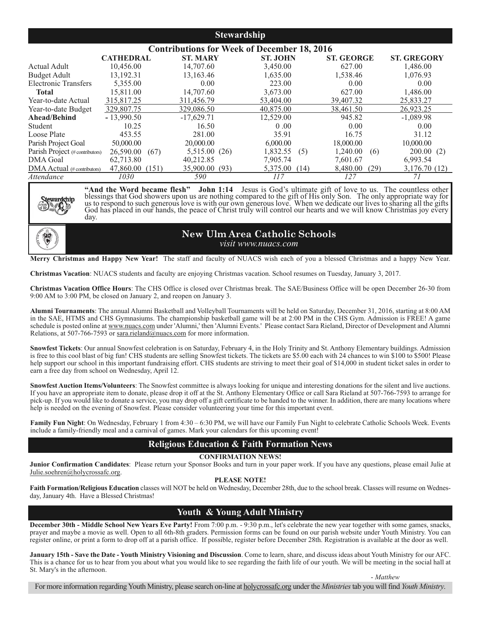#### **Stewardship**

|                                   | <b>Contributions for Week of December 18, 2016</b> |                 |                 |                   |                    |
|-----------------------------------|----------------------------------------------------|-----------------|-----------------|-------------------|--------------------|
|                                   | <b>CATHEDRAL</b>                                   | <b>ST. MARY</b> | <b>ST. JOHN</b> | <b>ST. GEORGE</b> | <b>ST. GREGORY</b> |
| Actual Adult                      | 10,456.00                                          | 14,707.60       | 3,450.00        | 627.00            | 1,486.00           |
| <b>Budget Adult</b>               | 13,192.31                                          | 13,163.46       | 1.635.00        | 1,538.46          | 1,076.93           |
| <b>Electronic Transfers</b>       | 5,355.00                                           | 0.00            | 223.00          | 0.00              | 0.00               |
| <b>Total</b>                      | 15.811.00                                          | 14,707.60       | 3.673.00        | 627.00            | 1,486.00           |
| Year-to-date Actual               | 315,817.25                                         | 311,456.79      | 53,404.00       | 39,407.32         | 25,833.27          |
| Year-to-date Budget               | 329,807.75                                         | 329,086.50      | 40,875.00       | 38,461.50         | 26,923.25          |
| Ahead/Behind                      | $-13,990.50$                                       | $-17,629.71$    | 12,529.00       | 945.82            | $-1,089.98$        |
| Student                           | 10.25                                              | 16.50           | 0.00            | 0.00              | 0.00               |
| Loose Plate                       | 453.55                                             | 281.00          | 35.91           | 16.75             | 31.12              |
| Parish Project Goal               | 50,000.00                                          | 20,000.00       | 6,000.00        | 18,000.00         | 10,000.00          |
| Parish Project (#contributors)    | 26,590.00<br>(67)                                  | 5,515.00 (26)   | 1,832.55<br>(5) | 1.240.00<br>(6)   | 200.00(2)          |
| <b>DMA</b> Goal                   | 62,713.80                                          | 40,212.85       | 7,905.74        | 7,601.67          | 6,993.54           |
| $\rm DMA$ Actual (# contributors) | 47,860.00<br>(151)                                 | 35,900.00 (93)  | 5,375.00 (14)   | 8,480.00<br>(29)  | 3,176.70 (12)      |
| Attendance                        | 1030                                               | 590             | 117             | 127               | 71                 |



**"And the Word became flesh" John 1:14** Jesus is God's ultimate gift of love to us. The countless other blessings that God showers upon us are nothing compared to the gift of His only Son. The only appropriate way for us to respond to such generous love is with our own generous love. When we dedicate our lives to sharing all the gifts God has placed in our hands, the peace of Christ truly will control our hearts and we will know Christmas joy every day.



**New Ulm Area Catholic Schools** *visit www.nuacs.com*

**Merry Christmas and Happy New Year!** The staff and faculty of NUACS wish each of you a blessed Christmas and a happy New Year.

**Christmas Vacation**: NUACS students and faculty are enjoying Christmas vacation. School resumes on Tuesday, January 3, 2017.

**Christmas Vacation Office Hours**: The CHS Office is closed over Christmas break. The SAE/Business Office will be open December 26-30 from 9:00 AM to 3:00 PM, be closed on January 2, and reopen on January 3.

**Alumni Tournaments**: The annual Alumni Basketball and Volleyball Tournaments will be held on Saturday, December 31, 2016, starting at 8:00 AM in the SAE, HTMS and CHS Gymnasiums. The championship basketball game will be at 2:00 PM in the CHS Gym. Admission is FREE! A game schedule is posted online at www.nuacs.com under 'Alumni,' then 'Alumni Events.' Please contact Sara Rieland, Director of Development and Alumni Relations, at 507-766-7593 or sara.rieland@nuacs.com for more information.

**Snowfest Tickets**: Our annual Snowfest celebration is on Saturday, February 4, in the Holy Trinity and St. Anthony Elementary buildings. Admission is free to this cool blast of big fun! CHS students are selling Snowfest tickets. The tickets are \$5.00 each with 24 chances to win \$100 to \$500! Please help support our school in this important fundraising effort. CHS students are striving to meet their goal of \$14,000 in student ticket sales in order to earn a free day from school on Wednesday, April 12.

**Snowfest Auction Items/Volunteers**: The Snowfest committee is always looking for unique and interesting donations for the silent and live auctions. If you have an appropriate item to donate, please drop it off at the St. Anthony Elementary Office or call Sara Rieland at 507-766-7593 to arrange for pick-up. If you would like to donate a service, you may drop off a gift certificate to be handed to the winner. In addition, there are many locations where help is needed on the evening of Snowfest. Please consider volunteering your time for this important event.

Family Fun Night: On Wednesday, February 1 from 4:30 - 6:30 PM, we will have our Family Fun Night to celebrate Catholic Schools Week. Events include a family-friendly meal and a carnival of games. Mark your calendars for this upcoming event!

#### **Religious Education & Faith Formation News**

#### **CONFIRMATION NEWS!**

**Junior Confirmation Candidates**: Please return your Sponsor Books and turn in your paper work. If you have any questions, please email Julie at Julie.soehren@holycrossafc.org.

#### **PLEASE NOTE!**

**Faith Formation/Religious Education** classes will NOT be held on Wednesday, December 28th, due to the school break. Classes will resume on Wednesday, January 4th. Have a Blessed Christmas!

#### **Youth & Young Adult Ministry**

**December 30th - Middle School New Years Eve Party!** From 7:00 p.m. - 9:30 p.m., let's celebrate the new year together with some games, snacks, prayer and maybe a movie as well. Open to all 6th-8th graders. Permission forms can be found on our parish website under Youth Ministry. You can register online, or print a form to drop off at a parish office. If possible, register before December 28th. Registration is available at the door as well.

**January 15th - Save the Date - Youth Ministry Visioning and Discussion**. Come to learn, share, and discuss ideas about Youth Ministry for our AFC. This is a chance for us to hear from you about what you would like to see regarding the faith life of our youth. We will be meeting in the social hall at St. Mary's in the afternoon.

- *Matthew*

For more information regarding Youth Ministry, please search on-line at holycrossafc.org under the *Ministries*tab you will find *Youth Ministry*.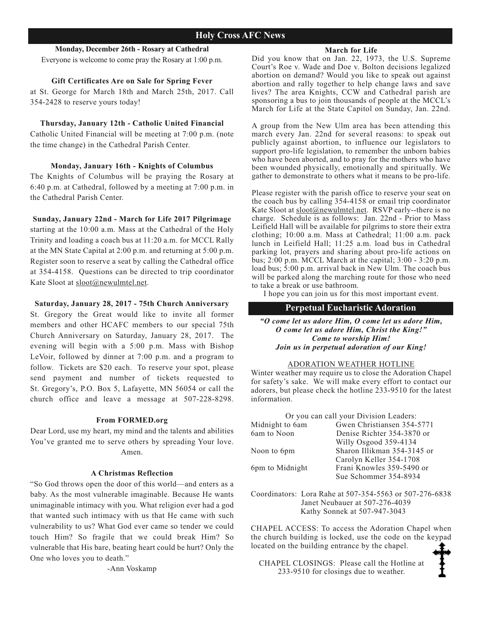#### **Monday, December 26th - Rosary at Cathedral**

Everyone is welcome to come pray the Rosary at 1:00 p.m.

#### **Gift Certificates Are on Sale for Spring Fever**

at St. George for March 18th and March 25th, 2017. Call 354-2428 to reserve yours today!

#### **Thursday, January 12th - Catholic United Financial**

Catholic United Financial will be meeting at 7:00 p.m. (note the time change) in the Cathedral Parish Center.

#### **Monday, January 16th - Knights of Columbus**

The Knights of Columbus will be praying the Rosary at 6:40 p.m. at Cathedral, followed by a meeting at 7:00 p.m. in the Cathedral Parish Center.

#### **Sunday, January 22nd - March for Life 2017 Pilgrimage**

starting at the 10:00 a.m. Mass at the Cathedral of the Holy Trinity and loading a coach bus at 11:20 a.m. for MCCL Rally at the MN State Capital at 2:00 p.m. and returning at 5:00 p.m. Register soon to reserve a seat by calling the Cathedral office at 354-4158. Questions can be directed to trip coordinator Kate Sloot at sloot@newulmtel.net.

#### **Saturday, January 28, 2017 - 75th Church Anniversary**

St. Gregory the Great would like to invite all former members and other HCAFC members to our special 75th Church Anniversary on Saturday, January 28, 2017. The evening will begin with a 5:00 p.m. Mass with Bishop LeVoir, followed by dinner at 7:00 p.m. and a program to follow. Tickets are \$20 each. To reserve your spot, please send payment and number of tickets requested to St. Gregory's, P.O. Box 5, Lafayette, MN 56054 or call the church office and leave a message at 507-228-8298.

#### **From FORMED.org**

Dear Lord, use my heart, my mind and the talents and abilities You've granted me to serve others by spreading Your love. Amen.

#### **A Christmas Reflection**

"So God throws open the door of this world—and enters as a baby. As the most vulnerable imaginable. Because He wants unimaginable intimacy with you. What religion ever had a god that wanted such intimacy with us that He came with such vulnerability to us? What God ever came so tender we could touch Him? So fragile that we could break Him? So vulnerable that His bare, beating heart could be hurt? Only the One who loves you to death."

-Ann Voskamp

#### **March for Life**

Did you know that on Jan. 22, 1973, the U.S. Supreme Court's Roe v. Wade and Doe v. Bolton decisions legalized abortion on demand? Would you like to speak out against abortion and rally together to help change laws and save lives? The area Knights, CCW and Cathedral parish are sponsoring a bus to join thousands of people at the MCCL's March for Life at the State Capitol on Sunday, Jan. 22nd.

A group from the New Ulm area has been attending this march every Jan. 22nd for several reasons: to speak out publicly against abortion, to influence our legislators to support pro-life legislation, to remember the unborn babies who have been aborted, and to pray for the mothers who have been wounded physically, emotionally and spiritually. We gather to demonstrate to others what it means to be pro-life.

Please register with the parish office to reserve your seat on the coach bus by calling 354-4158 or email trip coordinator Kate Sloot at sloot@newulmtel.net. RSVP early--there is no charge. Schedule is as follows: Jan. 22nd - Prior to Mass Leifield Hall will be available for pilgrims to store their extra clothing; 10:00 a.m. Mass at Cathedral; 11:00 a.m. pack lunch in Leifield Hall; 11:25 a.m. load bus in Cathedral parking lot, prayers and sharing about pro-life actions on bus; 2:00 p.m. MCCL March at the capital; 3:00 - 3:20 p.m. load bus; 5:00 p.m. arrival back in New Ulm. The coach bus will be parked along the marching route for those who need to take a break or use bathroom.

I hope you can join us for this most important event.

#### **Perpetual Eucharistic Adoration**

*"O come let us adore Him, O come let us adore Him, O come let us adore Him, Christ the King!" Come to worship Him! Join us in perpetual adoration of our King!*

#### ADORATION WEATHER HOTLINE

Winter weather may require us to close the Adoration Chapel for safety's sake. We will make every effort to contact our adorers, but please check the hotline 233-9510 for the latest information.

Or you can call your Division Leaders:

| Midnight to 6am | Gwen Christiansen 354-5771  |
|-----------------|-----------------------------|
| 6am to Noon     | Denise Richter 354-3870 or  |
|                 | Willy Osgood 359-4134       |
| Noon to 6pm     | Sharon Illikman 354-3145 or |
|                 | Carolyn Keller 354-1708     |
| 6pm to Midnight | Frani Knowles 359-5490 or   |
|                 | Sue Schommer 354-8934       |

Coordinators: Lora Rahe at 507-354-5563 or 507-276-6838 Janet Neubauer at 507-276-4039 Kathy Sonnek at 507-947-3043

CHAPEL ACCESS: To access the Adoration Chapel when the church building is locked, use the code on the keypad located on the building entrance by the chapel.

CHAPEL CLOSINGS: Please call the Hotline at 233-9510 for closings due to weather.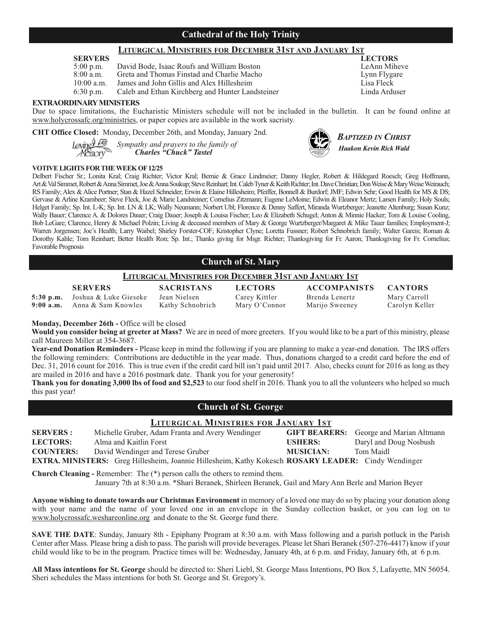#### **Cathedral of the Holy Trinity**

## **LITURGICAL MINISTRIES FOR DECEMBER 31ST AND JANUARY 1ST**

| <b>SERVERS</b> |                                                  | <b>LECTORS</b> |
|----------------|--------------------------------------------------|----------------|
| $5:00$ p.m.    | David Bode, Isaac Roufs and William Boston       | LeAnn Mih      |
| $8:00$ a.m.    | Greta and Thomas Finstad and Charlie Macho       | Lynn Flygar    |
| $10:00$ a.m.   | James and John Gillis and Alex Hillesheim        | Lisa Fleck     |
| $6:30$ p.m.    | Caleb and Ethan Kirchberg and Hunter Landsteiner | Linda Ardus    |

#### **EXTRAORDINARY MINISTERS**

Due to space limitations, the Eucharistic Ministers schedule will not be included in the bulletin. It can be found online at www.holycrossafc.org/ministries, or paper copies are available in the work sacristy.

**CHT Office Closed:** Monday, December 26th, and Monday, January 2nd.

*Sympathy and prayers to the family of Charles "Chuck" Tastel*

#### **VOTIVE LIGHTS FOR THE WEEK OF 12/25**

Delbert Fischer Sr.; Lonita Kral; Craig Richter; Victor Kral; Bernie & Grace Lindmeier; Danny Hegler, Robert & Hildegard Roesch; Greg Hoffmann, Art & Val Simmet, Robert & Anna Simmet, Joe & Anna Soukup; Steve Reinhart; Int. Caleb Tyner & Keith Richter; Int. Dave Christian; Don Weise & Mary Weise Weirauch; RS Family; Alex & Alice Portner; Stan & Hazel Schneider; Erwin & Elaine Hillesheim; Pfeiffer, Bonnell & Burdorf; JMF; Edwin Sehr; Good Health for MS & DS; Gervase & Arline Krambeer; Steve Fleck, Joe & Marie Landsteiner; Cornelius Zitzmann; Eugene LeMoine; Edwin & Eleanor Mertz; Larsen Family; Holy Souls; Helget Family; Sp. Int. L-K; Sp. Int. LN & LK; Wally Neumann; Norbert Ubl; Florence & Denny Saffert, Miranda Wurtzberger; Jeanette Altenburg; Susan Kunz; Wally Bauer; Clarence A. & Dolores Dauer; Craig Dauer; Joseph & Louisa Fischer; Leo & Elizabeth Schugel; Anton & Minnie Hacker; Tom & Louise Cooling, Bob LeGare; Clarence, Henry & Michael Polzin; Living & deceased members of Mary & George Wurtzberger/Margaret & Mike Tauer families; Employment-J; Warren Jorgensen; Joe's Health; Larry Waibel; Shirley Forster-COF; Kristopher Clyne; Loretta Fussner; Robert Schnobrich family; Walter Gareis; Roman & Dorothy Kahle; Tom Reinhart; Better Health Ron; Sp. Int.; Thanks giving for Msgr. Richter; Thanksgiving for Fr. Aaron; Thanksgiving for Fr. Cornelius; Favorable Prognosis

#### **Church of St. Mary**

#### **LITURGICAL MINISTRIES FOR DECEMBER 31ST AND JANUARY 1ST**

**SERVERS SACRISTANS LECTORS ACCOMPANISTS CANTORS**

5:30 p.m. Joshua & Luke Gieseke Jean Nielsen Carey Kittler Brenda Lenertz Mary Carroll<br>**9:00 a.m.** Anna & Sam Knowles Kathy Schnobrich Mary O'Connor Marijo Sweeney Carolyn Kelle **9:00 a.m.** Anna & Sam Knowles Kathy Schnobrich Mary O'Connor Marijo Sweeney Carolyn Keller

**Monday, December 26th -** Office will be closed

**Would you consider being at greeter at Mass?** We are in need of more greeters. If you would like to be a part of this ministry, please call Maureen Miller at 354-3687.

**Year-end Donation Reminders -** Please keep in mind the following if you are planning to make a year-end donation. The IRS offers the following reminders: Contributions are deductible in the year made. Thus, donations charged to a credit card before the end of Dec. 31, 2016 count for 2016. This is true even if the credit card bill isn't paid until 2017. Also, checks count for 2016 as long as they are mailed in 2016 and have a 2016 postmark date. Thank you for your generosity!

**Thank you for donating 3,000 lbs of food and \$2,523** to our food shelf in 2016. Thank you to all the volunteers who helped so much this past year!

#### **Church of St. George**

#### **LITURGICAL MINISTRIES FOR JANUARY 1ST**

| <b>SERVERS:</b>  | Michelle Gruber, Adam Franta and Avery Wendinger                                                           |                  | <b>GIFT BEARERS:</b> George and Marian Altmann |
|------------------|------------------------------------------------------------------------------------------------------------|------------------|------------------------------------------------|
| <b>LECTORS:</b>  | Alma and Kaitlin Forst                                                                                     | <b>USHERS:</b>   | Daryl and Doug Nosbush                         |
| <b>COUNTERS:</b> | David Wendinger and Terese Gruber                                                                          | <b>MUSICIAN:</b> | Tom Maidl                                      |
|                  | <b>EXTRA. MINISTERS:</b> Greg Hillesheim, Joannie Hillesheim, Kathy Kokesch ROSARY LEADER: Cindy Wendinger |                  |                                                |

**Church Cleaning -** Remember: The (\*) person calls the others to remind them.

January 7th at 8:30 a.m. \*Shari Beranek, Shirleen Beranek, Gail and Mary Ann Berle and Marion Beyer

**Anyone wishing to donate towards our Christmas Environment** in memory of a loved one may do so by placing your donation along with your name and the name of your loved one in an envelope in the Sunday collection basket, or you can log on to www.holycrossafc.weshareonline.org and donate to the St. George fund there.

**SAVE THE DATE**: Sunday, January 8th - Epiphany Program at 8:30 a.m. with Mass following and a parish potluck in the Parish Center after Mass. Please bring a dish to pass. The parish will provide beverages. Please let Shari Beranek (507-276-4417) know if your child would like to be in the program. Practice times will be: Wednesday, January 4th, at 6 p.m. and Friday, January 6th, at 6 p.m.

**All Mass intentions for St. George** should be directed to: Sheri Liebl, St. George Mass Intentions, PO Box 5, Lafayette, MN 56054. Sheri schedules the Mass intentions for both St. George and St. Gregory's.



LeAnn Miheve Lynn Flygare er Ethan Kirchberg and Ethan Kirchberg and Hunter Linda Arduser